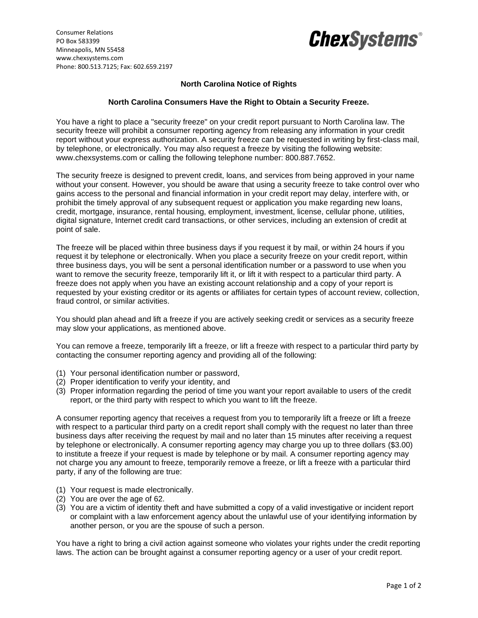

## *ChexSystems®*

## **North Carolina Notice of Rights**

## **North Carolina Consumers Have the Right to Obtain a Security Freeze.**

You have a right to place a "security freeze" on your credit report pursuant to North Carolina law. The security freeze will prohibit a consumer reporting agency from releasing any information in your credit report without your express authorization. A security freeze can be requested in writing by first-class mail, by telephone, or electronically. You may also request a freeze by visiting the following website: www.chexsystems.com or calling the following telephone number: 800.887.7652.

The security freeze is designed to prevent credit, loans, and services from being approved in your name without your consent. However, you should be aware that using a security freeze to take control over who gains access to the personal and financial information in your credit report may delay, interfere with, or prohibit the timely approval of any subsequent request or application you make regarding new loans, credit, mortgage, insurance, rental housing, employment, investment, license, cellular phone, utilities, digital signature, Internet credit card transactions, or other services, including an extension of credit at point of sale.

The freeze will be placed within three business days if you request it by mail, or within 24 hours if you request it by telephone or electronically. When you place a security freeze on your credit report, within three business days, you will be sent a personal identification number or a password to use when you want to remove the security freeze, temporarily lift it, or lift it with respect to a particular third party. A freeze does not apply when you have an existing account relationship and a copy of your report is requested by your existing creditor or its agents or affiliates for certain types of account review, collection, fraud control, or similar activities.

You should plan ahead and lift a freeze if you are actively seeking credit or services as a security freeze may slow your applications, as mentioned above.

You can remove a freeze, temporarily lift a freeze, or lift a freeze with respect to a particular third party by contacting the consumer reporting agency and providing all of the following:

- (1) Your personal identification number or password,
- (2) Proper identification to verify your identity, and
- (3) Proper information regarding the period of time you want your report available to users of the credit report, or the third party with respect to which you want to lift the freeze.

A consumer reporting agency that receives a request from you to temporarily lift a freeze or lift a freeze with respect to a particular third party on a credit report shall comply with the request no later than three business days after receiving the request by mail and no later than 15 minutes after receiving a request by telephone or electronically. A consumer reporting agency may charge you up to three dollars (\$3.00) to institute a freeze if your request is made by telephone or by mail. A consumer reporting agency may not charge you any amount to freeze, temporarily remove a freeze, or lift a freeze with a particular third party, if any of the following are true:

- (1) Your request is made electronically.
- (2) You are over the age of 62.
- (3) You are a victim of identity theft and have submitted a copy of a valid investigative or incident report or complaint with a law enforcement agency about the unlawful use of your identifying information by another person, or you are the spouse of such a person.

You have a right to bring a civil action against someone who violates your rights under the credit reporting laws. The action can be brought against a consumer reporting agency or a user of your credit report.